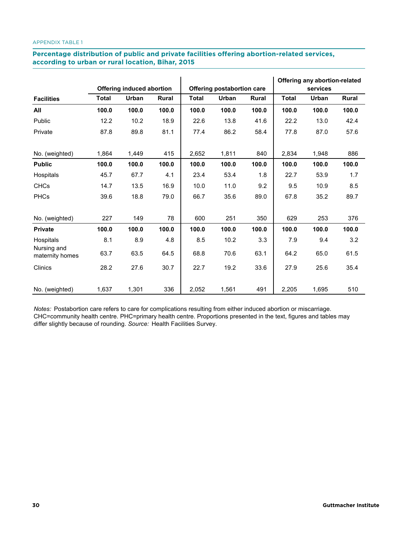### **The Latter of a Procentage distribution of public and private facilities offering abortion-related services,**  $\overline{\phantom{a}}$ **according to urban or rural location, Bihar, 2015 according to urban or public and private**

|                                |              | <b>Offering induced abortion</b> |              |              | Offering postabortion care |              |              | Offering any abortion-related<br>services |              |
|--------------------------------|--------------|----------------------------------|--------------|--------------|----------------------------|--------------|--------------|-------------------------------------------|--------------|
| <b>Facilities</b>              | <b>Total</b> | <b>Urban</b>                     | <b>Rural</b> | <b>Total</b> | Urban                      | <b>Rural</b> | <b>Total</b> | Urban                                     | <b>Rural</b> |
| All                            | 100.0        | 100.0                            | 100.0        | 100.0        | 100.0                      | 100.0        | 100.0        | 100.0                                     | 100.0        |
| Public                         | 12.2         | 10.2                             | 18.9         | 22.6         | 13.8                       | 41.6         | 22.2         | 13.0                                      | 42.4         |
| Private                        | 87.8         | 89.8                             | 81.1         | 77.4         | 86.2                       | 58.4         | 77.8         | 87.0                                      | 57.6         |
| No. (weighted)                 | 1,864        | 1,449                            | 415          | 2,652        | 1,811                      | 840          | 2,834        | 1,948                                     | 886          |
| <b>Public</b>                  | 100.0        | 100.0                            | 100.0        | 100.0        | 100.0                      | 100.0        | 100.0        | 100.0                                     | 100.0        |
| Hospitals                      | 45.7         | 67.7                             | 4.1          | 23.4         | 53.4                       | 1.8          | 22.7         | 53.9                                      | 1.7          |
| <b>CHCs</b>                    | 14.7         | 13.5                             | 16.9         | 10.0         | 11.0                       | 9.2          | 9.5          | 10.9                                      | 8.5          |
| <b>PHCs</b>                    | 39.6         | 18.8                             | 79.0         | 66.7         | 35.6                       | 89.0         | 67.8         | 35.2                                      | 89.7         |
| No. (weighted)                 | 227          | 149                              | 78           | 600          | 251                        | 350          | 629          | 253                                       | 376          |
| <b>Private</b>                 | 100.0        | 100.0                            | 100.0        | 100.0        | 100.0                      | 100.0        | 100.0        | 100.0                                     | 100.0        |
| Hospitals                      | 8.1          | 8.9                              | 4.8          | 8.5          | 10.2                       | 3.3          | 7.9          | 9.4                                       | 3.2          |
| Nursing and<br>maternity homes | 63.7         | 63.5                             | 64.5         | 68.8         | 70.6                       | 63.1         | 64.2         | 65.0                                      | 61.5         |
| Clinics                        | 28.2         | 27.6                             | 30.7         | 22.7         | 19.2                       | 33.6         | 27.9         | 25.6                                      | 35.4         |
| No. (weighted)                 | 1,637        | 1,301                            | 336          | 2,052        | 1,561                      | 491          | 2,205        | 1,695                                     | 510          |

*Notes:* Postabortion care refers to care for complications resulting from either induced abortion or miscarriage. CHC=community health centre. PHC=primary health centre. Proportions presented in the text, figures and tables may differ slightly because of rounding. *Source:* Health Facilities Survey.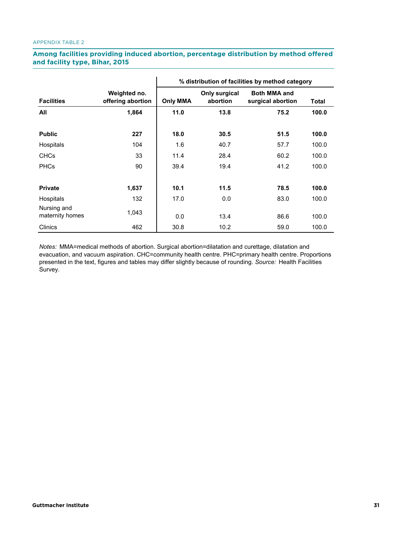# Among facilities providing induced abortion, percentage distribution by method offered **and facility type, Bihar, 2015 offered and facility type, Bihar, 2015**

|                                |                                   | % distribution of facilities by method category |                                  |                                          |              |  |  |
|--------------------------------|-----------------------------------|-------------------------------------------------|----------------------------------|------------------------------------------|--------------|--|--|
| <b>Facilities</b>              | Weighted no.<br>offering abortion | <b>Only MMA</b>                                 | <b>Only surgical</b><br>abortion | <b>Both MMA and</b><br>surgical abortion | <b>Total</b> |  |  |
| All                            | 1,864                             | 11.0                                            | 13.8                             | 75.2                                     | 100.0        |  |  |
| <b>Public</b>                  | 227                               | 18.0                                            | 30.5                             | 51.5                                     | 100.0        |  |  |
| Hospitals                      | 104                               | 1.6                                             | 40.7                             | 57.7                                     | 100.0        |  |  |
| <b>CHCs</b>                    | 33                                | 11.4                                            | 28.4                             | 60.2                                     | 100.0        |  |  |
| <b>PHCs</b>                    | 90                                | 39.4                                            | 19.4                             | 41.2                                     | 100.0        |  |  |
| <b>Private</b>                 | 1,637                             | 10.1                                            | 11.5                             | 78.5                                     | 100.0        |  |  |
| Hospitals                      | 132                               | 17.0                                            | 0.0                              | 83.0                                     | 100.0        |  |  |
| Nursing and<br>maternity homes | 1,043                             | 0.0                                             | 13.4                             | 86.6                                     | 100.0        |  |  |
| <b>Clinics</b>                 | 462                               | 30.8                                            | 10.2                             | 59.0                                     | 100.0        |  |  |

*Notes:* MMA=medical methods of abortion. Surgical abortion=dilatation and curettage, dilatation and evacuation, and vacuum aspiration. CHC=community health centre. PHC=primary health centre. Proportions presented in the text, figures and tables may differ slightly because of rounding. *Source:* Health Facilities Survey.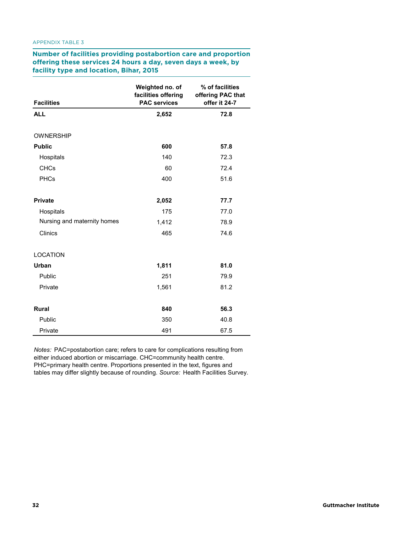**Number of facilities providing postabortion care and proportion offering these services 24 hours a day, seven days a week, by facility type and location, Bihar, 2015 facility type and location, Bihar, 2015 APPENDIX TABLE 3. Number of facilities providing postabortion care and proportion offering these services 24 hours a day, seven days a week, by** 

| <b>Facilities</b>           | Weighted no. of<br>facilities offering<br><b>PAC services</b> | % of facilities<br>offering PAC that<br>offer it 24-7 |
|-----------------------------|---------------------------------------------------------------|-------------------------------------------------------|
| <b>ALL</b>                  | 2,652                                                         | 72.8                                                  |
| <b>OWNERSHIP</b>            |                                                               |                                                       |
| <b>Public</b>               | 600                                                           | 57.8                                                  |
| Hospitals                   | 140                                                           | 72.3                                                  |
| <b>CHCs</b>                 | 60                                                            | 72.4                                                  |
| PHCs                        | 400                                                           | 51.6                                                  |
| <b>Private</b>              | 2,052                                                         | 77.7                                                  |
| Hospitals                   | 175                                                           | 77.0                                                  |
| Nursing and maternity homes | 1,412                                                         | 78.9                                                  |
| Clinics                     | 465                                                           | 74.6                                                  |
| <b>LOCATION</b>             |                                                               |                                                       |
| Urban                       | 1,811                                                         | 81.0                                                  |
| Public                      | 251                                                           | 79.9                                                  |
| Private                     | 1,561                                                         | 81.2                                                  |
| <b>Rural</b>                | 840                                                           | 56.3                                                  |
| Public                      | 350                                                           | 40.8                                                  |
| Private                     | 491                                                           | 67.5                                                  |

*Notes:* PAC=postabortion care; refers to care for complications resulting from either induced abortion or miscarriage. CHC=community health centre. PHC=primary health centre. Proportions presented in the text, figures and tables may differ slightly because of rounding. *Source:* Health Facilities Survey.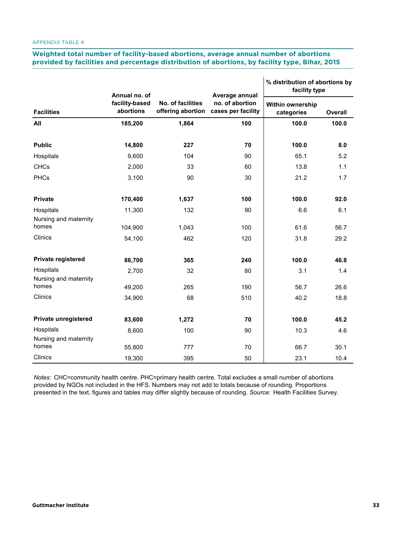# **Meighted total number of facility-based abortions, average annual number of abortions provided by facilities and percentage distribution of abortions, by facility type, Bihar, 2015 provided by facilities and percentage distribution of abortions, by facility type, Bihar, 2015**

 $\overline{1}$ 

|                                    | Annual no. of               |                                        | Average annual                        | % distribution of abortions by<br>facility type |         |  |
|------------------------------------|-----------------------------|----------------------------------------|---------------------------------------|-------------------------------------------------|---------|--|
| <b>Facilities</b>                  | facility-based<br>abortions | No. of facilities<br>offering abortion | no. of abortion<br>cases per facility | Within ownership<br>categories                  | Overall |  |
| All                                | 185,200                     | 1,864                                  | 100                                   | 100.0                                           | 100.0   |  |
| <b>Public</b>                      | 14,800                      | 227                                    | 70                                    | 100.0                                           | 8.0     |  |
| Hospitals                          | 9,600                       | 104                                    | 90                                    | 65.1                                            | 5.2     |  |
| <b>CHCs</b>                        | 2,000                       | 33                                     | 60                                    | 13.8                                            | 1.1     |  |
| <b>PHCs</b>                        | 3,100                       | 90                                     | 30                                    | 21.2                                            | 1.7     |  |
| <b>Private</b>                     | 170,400                     | 1,637                                  | 100                                   | 100.0                                           | 92.0    |  |
| Hospitals                          | 11,300                      | 132                                    | 90                                    | 6.6                                             | 6.1     |  |
| Nursing and maternity<br>homes     | 104,900                     | 1,043                                  | 100                                   | 61.6                                            | 56.7    |  |
| Clinics                            | 54,100                      | 462                                    | 120                                   | 31.8                                            | 29.2    |  |
| Private registered                 | 86,700                      | 365                                    | 240                                   | 100.0                                           | 46.8    |  |
| Hospitals<br>Nursing and maternity | 2,700                       | 32                                     | 80                                    | 3.1                                             | 1.4     |  |
| homes                              | 49,200                      | 265                                    | 190                                   | 56.7                                            | 26.6    |  |
| Clinics                            | 34,900                      | 68                                     | 510                                   | 40.2                                            | 18.8    |  |
| Private unregistered               | 83,600                      | 1,272                                  | 70                                    | 100.0                                           | 45.2    |  |
| Hospitals                          | 8,600                       | 100                                    | 90                                    | 10.3                                            | 4.6     |  |
| Nursing and maternity              |                             |                                        |                                       |                                                 |         |  |
| homes                              | 55,800                      | 777                                    | 70                                    | 66.7                                            | 30.1    |  |
| Clinics                            | 19,300                      | 395                                    | 50                                    | 23.1                                            | 10.4    |  |

*Notes:* CHC=community health centre. PHC=primary health centre. Total excludes a small number of abortions provided by NGOs not included in the HFS. Numbers may not add to totals because of rounding. Proportions presented in the text, figures and tables may differ slightly because of rounding. *Source:* Health Facilities Survey.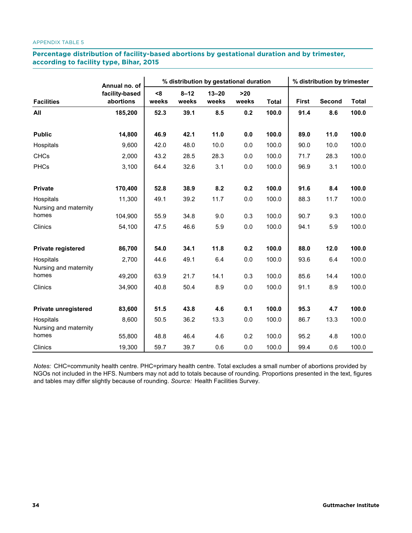## Percentage distribution of facility-based abortions by gestational duration and by trimester, **according to facility type, Bihar, 2015 according to facility type, Bihar, 2015**

|                                    | Annual no. of  |       | % distribution by gestational duration |           |       |              |              | % distribution by trimester |              |  |
|------------------------------------|----------------|-------|----------------------------------------|-----------|-------|--------------|--------------|-----------------------------|--------------|--|
|                                    | facility-based | $8$   | $8 - 12$                               | $13 - 20$ | $>20$ |              |              |                             |              |  |
| <b>Facilities</b>                  | abortions      | weeks | weeks                                  | weeks     | weeks | <b>Total</b> | <b>First</b> | Second                      | <b>Total</b> |  |
| All                                | 185,200        | 52.3  | 39.1                                   | 8.5       | 0.2   | 100.0        | 91.4         | 8.6                         | 100.0        |  |
| <b>Public</b>                      | 14,800         | 46.9  | 42.1                                   | 11.0      | 0.0   | 100.0        | 89.0         | 11.0                        | 100.0        |  |
| Hospitals                          | 9,600          | 42.0  | 48.0                                   | 10.0      | 0.0   | 100.0        | 90.0         | 10.0                        | 100.0        |  |
| <b>CHCs</b>                        | 2,000          | 43.2  | 28.5                                   | 28.3      | 0.0   | 100.0        | 71.7         | 28.3                        | 100.0        |  |
| <b>PHCs</b>                        | 3,100          | 64.4  | 32.6                                   | 3.1       | 0.0   | 100.0        | 96.9         | 3.1                         | 100.0        |  |
| Private                            | 170,400        | 52.8  | 38.9                                   | 8.2       | 0.2   | 100.0        | 91.6         | 8.4                         | 100.0        |  |
| Hospitals<br>Nursing and maternity | 11,300         | 49.1  | 39.2                                   | 11.7      | 0.0   | 100.0        | 88.3         | 11.7                        | 100.0        |  |
| homes                              | 104,900        | 55.9  | 34.8                                   | 9.0       | 0.3   | 100.0        | 90.7         | 9.3                         | 100.0        |  |
| Clinics                            | 54,100         | 47.5  | 46.6                                   | 5.9       | 0.0   | 100.0        | 94.1         | 5.9                         | 100.0        |  |
| Private registered                 | 86,700         | 54.0  | 34.1                                   | 11.8      | 0.2   | 100.0        | 88.0         | 12.0                        | 100.0        |  |
| Hospitals<br>Nursing and maternity | 2,700          | 44.6  | 49.1                                   | 6.4       | 0.0   | 100.0        | 93.6         | 6.4                         | 100.0        |  |
| homes                              | 49,200         | 63.9  | 21.7                                   | 14.1      | 0.3   | 100.0        | 85.6         | 14.4                        | 100.0        |  |
| Clinics                            | 34,900         | 40.8  | 50.4                                   | 8.9       | 0.0   | 100.0        | 91.1         | 8.9                         | 100.0        |  |
| Private unregistered               | 83,600         | 51.5  | 43.8                                   | 4.6       | 0.1   | 100.0        | 95.3         | 4.7                         | 100.0        |  |
| Hospitals<br>Nursing and maternity | 8,600          | 50.5  | 36.2                                   | 13.3      | 0.0   | 100.0        | 86.7         | 13.3                        | 100.0        |  |
| homes                              | 55,800         | 48.8  | 46.4                                   | 4.6       | 0.2   | 100.0        | 95.2         | 4.8                         | 100.0        |  |
| Clinics                            | 19,300         | 59.7  | 39.7                                   | 0.6       | 0.0   | 100.0        | 99.4         | 0.6                         | 100.0        |  |

*Notes:* CHC=community health centre. PHC=primary health centre. Total excludes a small number of abortions provided by NGOs not included in the HFS. Numbers may not add to totals because of rounding. Proportions presented in the text, figures and tables may differ slightly because of rounding. *Source:* Health Facilities Survey.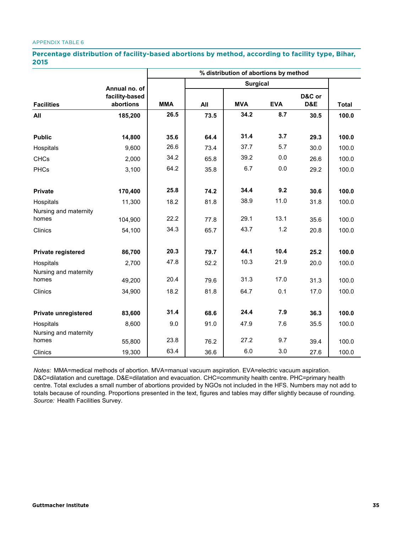#### APPENDIX TABLE 6 **APPENDIX TABLE 6. Percentage distribution of facility-based abortions by method, according to facility type,**

## Percentage distribution of facility-based abortions by method, according to facility type, Bihar, **2015**

|                                    |                             | % distribution of abortions by method |      |                 |            |               |              |  |
|------------------------------------|-----------------------------|---------------------------------------|------|-----------------|------------|---------------|--------------|--|
|                                    | Annual no. of               |                                       |      | <b>Surgical</b> |            |               |              |  |
| <b>Facilities</b>                  | facility-based<br>abortions | <b>MMA</b>                            | All  | <b>MVA</b>      | <b>EVA</b> | D&C or<br>D&E | <b>Total</b> |  |
| All                                | 185,200                     | 26.5                                  | 73.5 | 34.2            | 8.7        | 30.5          | 100.0        |  |
| <b>Public</b>                      | 14,800                      | 35.6                                  | 64.4 | 31.4            | 3.7        | 29.3          | 100.0        |  |
| Hospitals                          | 9,600                       | 26.6                                  | 73.4 | 37.7            | 5.7        | 30.0          | 100.0        |  |
| <b>CHCs</b>                        | 2,000                       | 34.2                                  | 65.8 | 39.2            | 0.0        | 26.6          | 100.0        |  |
| <b>PHCs</b>                        | 3,100                       | 64.2                                  | 35.8 | 6.7             | 0.0        | 29.2          | 100.0        |  |
| <b>Private</b>                     | 170,400                     | 25.8                                  | 74.2 | 34.4            | 9.2        | 30.6          | 100.0        |  |
| Hospitals                          | 11,300                      | 18.2                                  | 81.8 | 38.9            | 11.0       | 31.8          | 100.0        |  |
| Nursing and maternity<br>homes     | 104,900                     | 22.2                                  | 77.8 | 29.1            | 13.1       | 35.6          | 100.0        |  |
| Clinics                            | 54,100                      | 34.3                                  | 65.7 | 43.7            | 1.2        | 20.8          | 100.0        |  |
| Private registered                 | 86,700                      | 20.3                                  | 79.7 | 44.1            | 10.4       | 25.2          | 100.0        |  |
| Hospitals<br>Nursing and maternity | 2,700                       | 47.8                                  | 52.2 | 10.3            | 21.9       | 20.0          | 100.0        |  |
| homes                              | 49,200                      | 20.4                                  | 79.6 | 31.3            | 17.0       | 31.3          | 100.0        |  |
| <b>Clinics</b>                     | 34,900                      | 18.2                                  | 81.8 | 64.7            | 0.1        | 17.0          | 100.0        |  |
| <b>Private unregistered</b>        | 83,600                      | 31.4                                  | 68.6 | 24.4            | 7.9        | 36.3          | 100.0        |  |
| Hospitals<br>Nursing and maternity | 8,600                       | 9.0                                   | 91.0 | 47.9            | 7.6        | 35.5          | 100.0        |  |
| homes                              | 55,800                      | 23.8                                  | 76.2 | 27.2            | 9.7        | 39.4          | 100.0        |  |
| Clinics                            | 19,300                      | 63.4                                  | 36.6 | 6.0             | 3.0        | 27.6          | 100.0        |  |

*Notes:* MMA=medical methods of abortion. MVA=manual vacuum aspiration. EVA=electric vacuum aspiration. D&C=dilatation and curettage. D&E=dilatation and evacuation. CHC=community health centre. PHC=primary health centre. Total excludes a small number of abortions provided by NGOs not included in the HFS. Numbers may not add to totals because of rounding. Proportions presented in the text, figures and tables may differ slightly because of rounding. *Source:* Health Facilities Survey.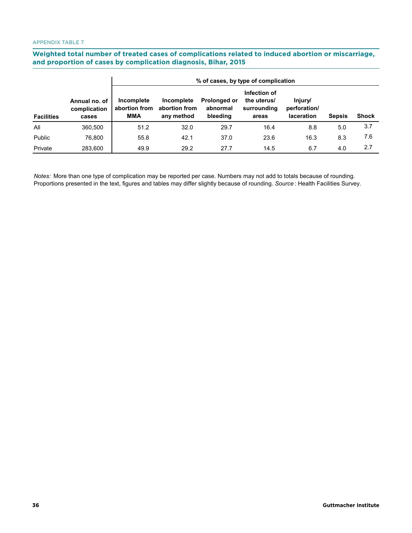Weighted total number of treated cases of complications related to induced abortion or miscarriage, **and proportion of cases by complication diagnosis, Bihar, 2015 and proportion of cases by complication diagnosis, Bihar, 2015**

|                   |                                        | % of cases, by type of complication       |                                           |                                      |                                                     |                                              |               |              |  |  |  |
|-------------------|----------------------------------------|-------------------------------------------|-------------------------------------------|--------------------------------------|-----------------------------------------------------|----------------------------------------------|---------------|--------------|--|--|--|
| <b>Facilities</b> | Annual no. of<br>complication<br>cases | Incomplete<br>abortion from<br><b>MMA</b> | Incomplete<br>abortion from<br>any method | Prolonged or<br>abnormal<br>bleeding | Infection of<br>the uterus/<br>surrounding<br>areas | Injury/<br>perforation/<br><b>laceration</b> | <b>Sepsis</b> | <b>Shock</b> |  |  |  |
| All               | 360,500                                | 51.2                                      | 32.0                                      | 29.7                                 | 16.4                                                | 8.8                                          | 5.0           | 3.7          |  |  |  |
| Public            | 76.800                                 | 55.8                                      | 42.1                                      | 37.0                                 | 23.6                                                | 16.3                                         | 8.3           | 7.6          |  |  |  |
| Private           | 283.600                                | 49.9                                      | 29.2                                      | 27.7                                 | 14.5                                                | 6.7                                          | 4.0           | 2.7          |  |  |  |

*Notes:* More than one type of complication may be reported per case. Numbers may not add to totals because of rounding. Proportions presented in the text, figures and tables may differ slightly because of rounding. *Source* : Health Facilities Survey.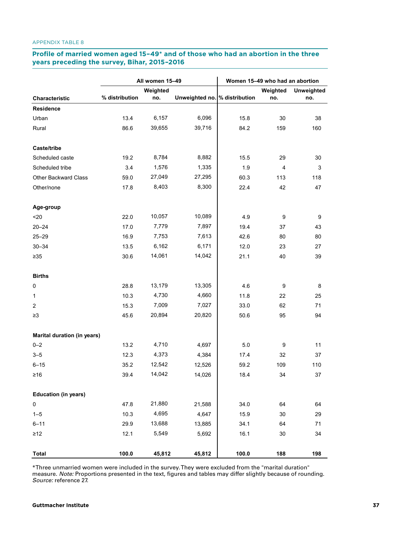# **Profile of married women aged 15-49\* and of those who had an abortion in the three years preceding the survey, Bihar, 2015–2016 preceding the survey, Bihar, 2015–2016**

|                             |                | All women 15-49 |                               | Women 15-49 who had an abortion |          |                   |  |
|-----------------------------|----------------|-----------------|-------------------------------|---------------------------------|----------|-------------------|--|
|                             |                | Weighted        |                               |                                 | Weighted | <b>Unweighted</b> |  |
| Characteristic              | % distribution | no.             | Unweighted no. % distribution |                                 | no.      | no.               |  |
| <b>Residence</b>            |                |                 |                               |                                 |          |                   |  |
| Urban                       | 13.4           | 6,157           | 6,096                         | 15.8                            | 30       | 38                |  |
| Rural                       | 86.6           | 39,655          | 39,716                        | 84.2                            | 159      | 160               |  |
| Caste/tribe                 |                |                 |                               |                                 |          |                   |  |
| Scheduled caste             | 19.2           | 8,784           | 8,882                         | 15.5                            | 29       | 30                |  |
| Scheduled tribe             | 3.4            | 1,576           | 1,335                         | 1.9                             | 4        | 3                 |  |
| Other Backward Class        | 59.0           | 27,049          | 27,295                        | 60.3                            | 113      | 118               |  |
| Other/none                  | 17.8           | 8,403           | 8,300                         | 22.4                            | 42       | 47                |  |
| Age-group                   |                |                 |                               |                                 |          |                   |  |
| $20$                        | 22.0           | 10,057          | 10,089                        | 4.9                             | 9        | 9                 |  |
| $20 - 24$                   | 17.0           | 7,779           | 7,897                         | 19.4                            | 37       | 43                |  |
| $25 - 29$                   | 16.9           | 7,753           | 7,613                         | 42.6                            | 80       | 80                |  |
| $30 - 34$                   | 13.5           | 6,162           | 6,171                         | 12.0                            | 23       | 27                |  |
| $\geq 35$                   | 30.6           | 14,061          | 14,042                        | 21.1                            | 40       | 39                |  |
| <b>Births</b>               |                |                 |                               |                                 |          |                   |  |
| $\mathbf 0$                 | 28.8           | 13,179          | 13,305                        | 4.6                             | 9        | 8                 |  |
| $\mathbf{1}$                | 10.3           | 4,730           | 4,660                         | 11.8                            | 22       | 25                |  |
| $\overline{c}$              | 15.3           | 7,009           | 7,027                         | 33.0                            | 62       | 71                |  |
| $\geq$ 3                    | 45.6           | 20,894          | 20,820                        | 50.6                            | 95       | 94                |  |
| Marital duration (in years) |                |                 |                               |                                 |          |                   |  |
| $0 - 2$                     | 13.2           | 4,710           | 4,697                         | 5.0                             | 9        | 11                |  |
| $3 - 5$                     | 12.3           | 4,373           | 4,384                         | 17.4                            | 32       | 37                |  |
| $6 - 15$                    | 35.2           | 12,542          | 12,526                        | 59.2                            | 109      | 110               |  |
| $\geq 16$                   | 39.4           | 14,042          | 14,026                        | 18.4                            | 34       | 37                |  |
| <b>Education (in years)</b> |                |                 |                               |                                 |          |                   |  |
| 0                           | 47.8           | 21,880          | 21,588                        | 34.0                            | 64       | 64                |  |
| $1 - 5$                     | 10.3           | 4,695           | 4,647                         | 15.9                            | 30       | 29                |  |
| $6 - 11$                    | 29.9           | 13,688          | 13,885                        | 34.1                            | 64       | 71                |  |
| $\geq$ 12                   | 12.1           | 5,549           | 5,692                         | 16.1                            | 30       | 34                |  |
| <b>Total</b>                | 100.0          | 45,812          | 45,812                        | 100.0                           | 188      | 198               |  |

\*Three unmarried women were included in the survey. They were excluded from the "marital duration" measure. *Note:*  Proportions presented in the text, figures and tables may differ slightly because of rounding. *Source:* reference 27. \*Three unmarried women were included in the survey. They were excluded from the "marital duration" measure. *Note:* Proportions presented in the text, figures and tables may differ slightly because of rounding. *Source:* reference 27.